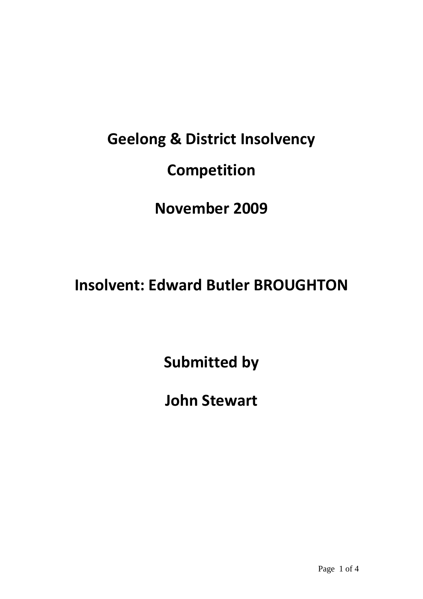## **Geelong & District Insolvency Competition**

## **November 2009**

## **Insolvent: Edward Butler BROUGHTON**

**Submitted by**

**John Stewart**

Page 1 of 4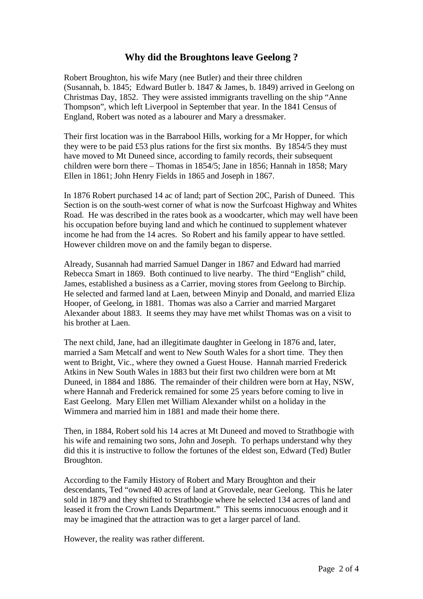## **Why did the Broughtons leave Geelong ?**

Robert Broughton, his wife Mary (nee Butler) and their three children (Susannah, b. 1845; Edward Butler b. 1847 & James, b. 1849) arrived in Geelong on Christmas Day, 1852. They were assisted immigrants travelling on the ship "Anne Thompson", which left Liverpool in September that year. In the 1841 Census of England, Robert was noted as a labourer and Mary a dressmaker.

Their first location was in the Barrabool Hills, working for a Mr Hopper, for which they were to be paid £53 plus rations for the first six months. By 1854/5 they must have moved to Mt Duneed since, according to family records, their subsequent children were born there – Thomas in 1854/5; Jane in 1856; Hannah in 1858; Mary Ellen in 1861; John Henry Fields in 1865 and Joseph in 1867.

In 1876 Robert purchased 14 ac of land; part of Section 20C, Parish of Duneed. This Section is on the south-west corner of what is now the Surfcoast Highway and Whites Road. He was described in the rates book as a woodcarter, which may well have been his occupation before buying land and which he continued to supplement whatever income he had from the 14 acres. So Robert and his family appear to have settled. However children move on and the family began to disperse.

Already, Susannah had married Samuel Danger in 1867 and Edward had married Rebecca Smart in 1869. Both continued to live nearby. The third "English" child, James, established a business as a Carrier, moving stores from Geelong to Birchip. He selected and farmed land at Laen, between Minyip and Donald, and married Eliza Hooper, of Geelong, in 1881. Thomas was also a Carrier and married Margaret Alexander about 1883. It seems they may have met whilst Thomas was on a visit to his brother at Laen.

The next child, Jane, had an illegitimate daughter in Geelong in 1876 and, later, married a Sam Metcalf and went to New South Wales for a short time. They then went to Bright, Vic., where they owned a Guest House. Hannah married Frederick Atkins in New South Wales in 1883 but their first two children were born at Mt Duneed, in 1884 and 1886. The remainder of their children were born at Hay, NSW, where Hannah and Frederick remained for some 25 years before coming to live in East Geelong. Mary Ellen met William Alexander whilst on a holiday in the Wimmera and married him in 1881 and made their home there.

Then, in 1884, Robert sold his 14 acres at Mt Duneed and moved to Strathbogie with his wife and remaining two sons, John and Joseph. To perhaps understand why they did this it is instructive to follow the fortunes of the eldest son, Edward (Ted) Butler Broughton.

According to the Family History of Robert and Mary Broughton and their descendants, Ted "owned 40 acres of land at Grovedale, near Geelong. This he later sold in 1879 and they shifted to Strathbogie where he selected 134 acres of land and leased it from the Crown Lands Department." This seems innocuous enough and it may be imagined that the attraction was to get a larger parcel of land.

However, the reality was rather different.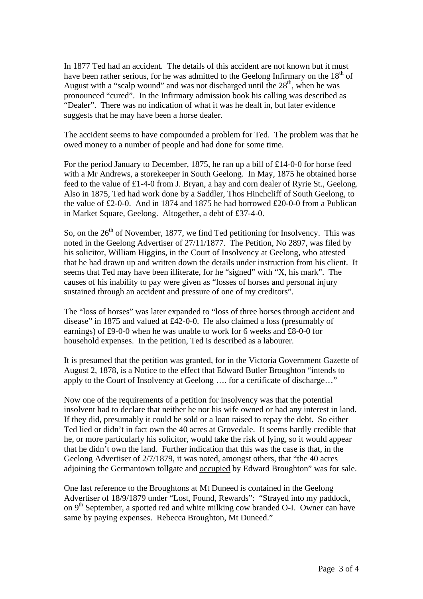In 1877 Ted had an accident. The details of this accident are not known but it must have been rather serious, for he was admitted to the Geelong Infirmary on the  $18<sup>th</sup>$  of August with a "scalp wound" and was not discharged until the  $28<sup>th</sup>$ , when he was pronounced "cured". In the Infirmary admission book his calling was described as "Dealer". There was no indication of what it was he dealt in, but later evidence suggests that he may have been a horse dealer.

The accident seems to have compounded a problem for Ted. The problem was that he owed money to a number of people and had done for some time.

For the period January to December, 1875, he ran up a bill of £14-0-0 for horse feed with a Mr Andrews, a storekeeper in South Geelong. In May, 1875 he obtained horse feed to the value of £1-4-0 from J. Bryan, a hay and corn dealer of Ryrie St., Geelong. Also in 1875, Ted had work done by a Saddler, Thos Hinchcliff of South Geelong, to the value of £2-0-0. And in 1874 and 1875 he had borrowed £20-0-0 from a Publican in Market Square, Geelong. Altogether, a debt of £37-4-0.

So, on the  $26<sup>th</sup>$  of November, 1877, we find Ted petitioning for Insolvency. This was noted in the Geelong Advertiser of 27/11/1877. The Petition, No 2897, was filed by his solicitor, William Higgins, in the Court of Insolvency at Geelong, who attested that he had drawn up and written down the details under instruction from his client. It seems that Ted may have been illiterate, for he "signed" with "X, his mark". The causes of his inability to pay were given as "losses of horses and personal injury sustained through an accident and pressure of one of my creditors".

The "loss of horses" was later expanded to "loss of three horses through accident and disease" in 1875 and valued at £42-0-0. He also claimed a loss (presumably of earnings) of £9-0-0 when he was unable to work for 6 weeks and £8-0-0 for household expenses. In the petition, Ted is described as a labourer.

It is presumed that the petition was granted, for in the Victoria Government Gazette of August 2, 1878, is a Notice to the effect that Edward Butler Broughton "intends to apply to the Court of Insolvency at Geelong …. for a certificate of discharge…"

Now one of the requirements of a petition for insolvency was that the potential insolvent had to declare that neither he nor his wife owned or had any interest in land. If they did, presumably it could be sold or a loan raised to repay the debt. So either Ted lied or didn't in fact own the 40 acres at Grovedale. It seems hardly credible that he, or more particularly his solicitor, would take the risk of lying, so it would appear that he didn't own the land. Further indication that this was the case is that, in the Geelong Advertiser of 2/7/1879, it was noted, amongst others, that "the 40 acres adjoining the Germantown tollgate and occupied by Edward Broughton" was for sale.

One last reference to the Broughtons at Mt Duneed is contained in the Geelong Advertiser of 18/9/1879 under "Lost, Found, Rewards": "Strayed into my paddock, on  $9<sup>th</sup>$  September, a spotted red and white milking cow branded O-I. Owner can have same by paying expenses. Rebecca Broughton, Mt Duneed."